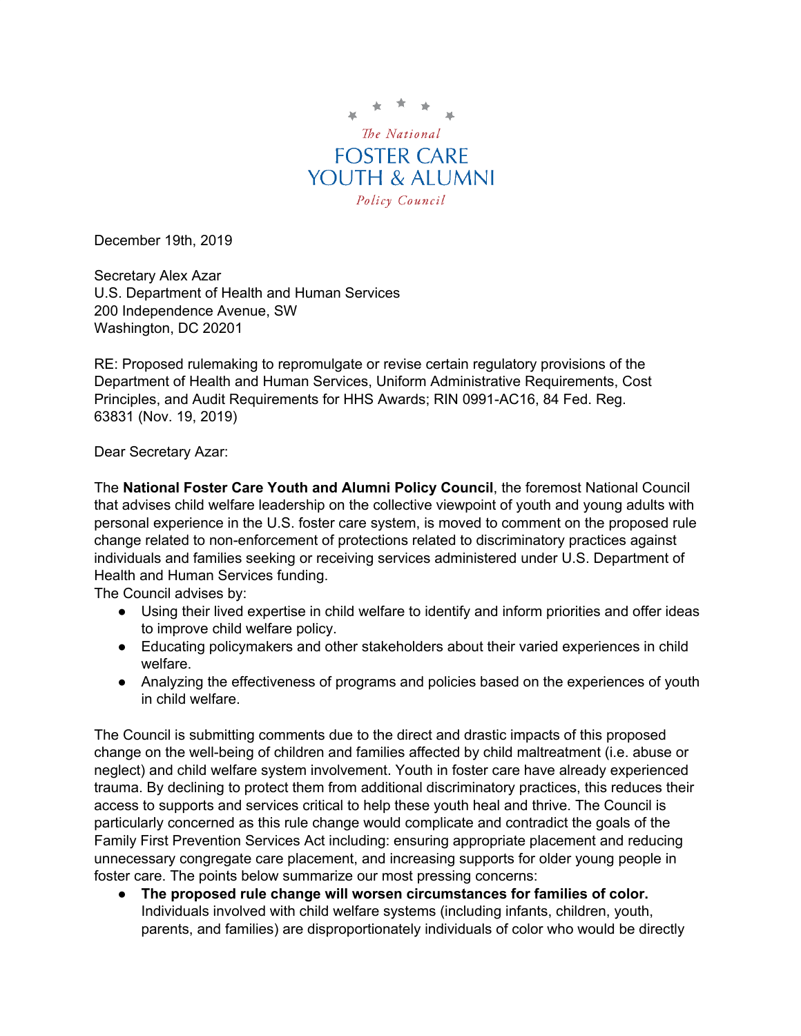

December 19th, 2019

Secretary Alex Azar U.S. Department of Health and Human Services 200 Independence Avenue, SW Washington, DC 20201

RE: Proposed rulemaking to repromulgate or revise certain regulatory provisions of the Department of Health and Human Services, Uniform Administrative Requirements, Cost Principles, and Audit Requirements for HHS Awards; RIN 0991-AC16, 84 Fed. Reg. 63831 (Nov. 19, 2019)

Dear Secretary Azar:

The **National Foster Care Youth and Alumni Policy Council**, the foremost National Council that advises child welfare leadership on the collective viewpoint of youth and young adults with personal experience in the U.S. foster care system, is moved to comment on the proposed rule change related to non-enforcement of protections related to discriminatory practices against individuals and families seeking or receiving services administered under U.S. Department of Health and Human Services funding.

The Council advises by:

- Using their lived expertise in child welfare to identify and inform priorities and offer ideas to improve child welfare policy.
- Educating policymakers and other stakeholders about their varied experiences in child welfare.
- Analyzing the effectiveness of programs and policies based on the experiences of youth in child welfare.

The Council is submitting comments due to the direct and drastic impacts of this proposed change on the well-being of children and families affected by child maltreatment (i.e. abuse or neglect) and child welfare system involvement. Youth in foster care have already experienced trauma. By declining to protect them from additional discriminatory practices, this reduces their access to supports and services critical to help these youth heal and thrive. The Council is particularly concerned as this rule change would complicate and contradict the goals of the Family First Prevention Services Act including: ensuring appropriate placement and reducing unnecessary congregate care placement, and increasing supports for older young people in foster care. The points below summarize our most pressing concerns:

● **The proposed rule change will worsen circumstances for families of color.** Individuals involved with child welfare systems (including infants, children, youth, parents, and families) are disproportionately individuals of color who would be directly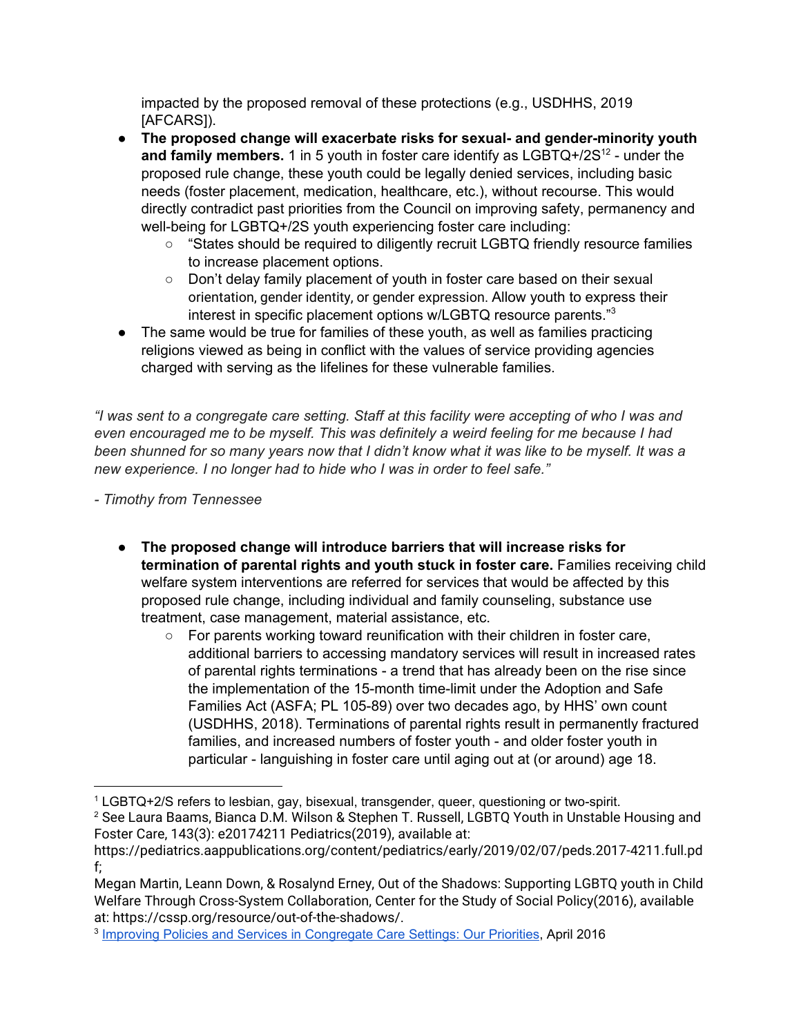impacted by the proposed removal of these protections (e.g., USDHHS, 2019 [AFCARS]).

- **The proposed change will exacerbate risks for sexual- and gender-minority youth** and family members. 1 in 5 youth in foster care identify as LGBTQ+/2S<sup>12</sup> - under the proposed rule change, these youth could be legally denied services, including basic needs (foster placement, medication, healthcare, etc.), without recourse. This would directly contradict past priorities from the Council on improving safety, permanency and well-being for LGBTQ+/2S youth experiencing foster care including:
	- "States should be required to diligently recruit LGBTQ friendly resource families to increase placement options.
	- Don't delay family placement of youth in foster care based on their sexual orientation, gender identity, or gender expression. Allow youth to express their interest in specific placement options w/LGBTQ resource parents."<sup>3</sup>
- The same would be true for families of these youth, as well as families practicing religions viewed as being in conflict with the values of service providing agencies charged with serving as the lifelines for these vulnerable families.

"I was sent to a congregate care setting. Staff at this facility were accepting of who I was and *even encouraged me to be myself. This was definitely a weird feeling for me because I had* been shunned for so many years now that I didn't know what it was like to be myself. It was a *new experience. I no longer had to hide who I was in order to feel safe."*

*- Timothy from Tennessee*

- **The proposed change will introduce barriers that will increase risks for termination of parental rights and youth stuck in foster care.** Families receiving child welfare system interventions are referred for services that would be affected by this proposed rule change, including individual and family counseling, substance use treatment, case management, material assistance, etc.
	- For parents working toward reunification with their children in foster care, additional barriers to accessing mandatory services will result in increased rates of parental rights terminations - a trend that has already been on the rise since the implementation of the 15-month time-limit under the Adoption and Safe Families Act (ASFA; PL 105-89) over two decades ago, by HHS' own count (USDHHS, 2018). Terminations of parental rights result in permanently fractured families, and increased numbers of foster youth - and older foster youth in particular - languishing in foster care until aging out at (or around) age 18.

<sup>1</sup> LGBTQ+2/S refers to lesbian, gay, bisexual, transgender, queer, questioning or two-spirit.

<sup>&</sup>lt;sup>2</sup> See Laura Baams, Bianca D.M. Wilson & Stephen T. Russell, LGBTQ Youth in Unstable Housing and Foster Care, 143(3): e20174211 Pediatrics(2019), available at:

[https://pediatrics.aappublications.org/content/pediatrics/early/2019/02/07/peds.2017-4211.full.pd](https://pediatrics.aappublications.org/content/pediatrics/early/2019/02/07/peds.2017-4211.full.pdf) [f;](https://pediatrics.aappublications.org/content/pediatrics/early/2019/02/07/peds.2017-4211.full.pdf)

Megan Martin, Leann Down, & Rosalynd Erney, Out of the Shadows: Supporting LGBTQ youth in Child Welfare Through Cross-System Collaboration, Center for the Study of Social Policy(2016), available at:<https://cssp.org/resource/out-of-the-shadows/>.

<sup>&</sup>lt;sup>3</sup> Improving Policies and Services in [Congregate](http://nationalpolicycouncil.org/sites/default/files/docs/landingpage/Congregate%20Care%20-%20Improving%20Services%20%281%29.pdf) Care Settings: Our Priorities, April 2016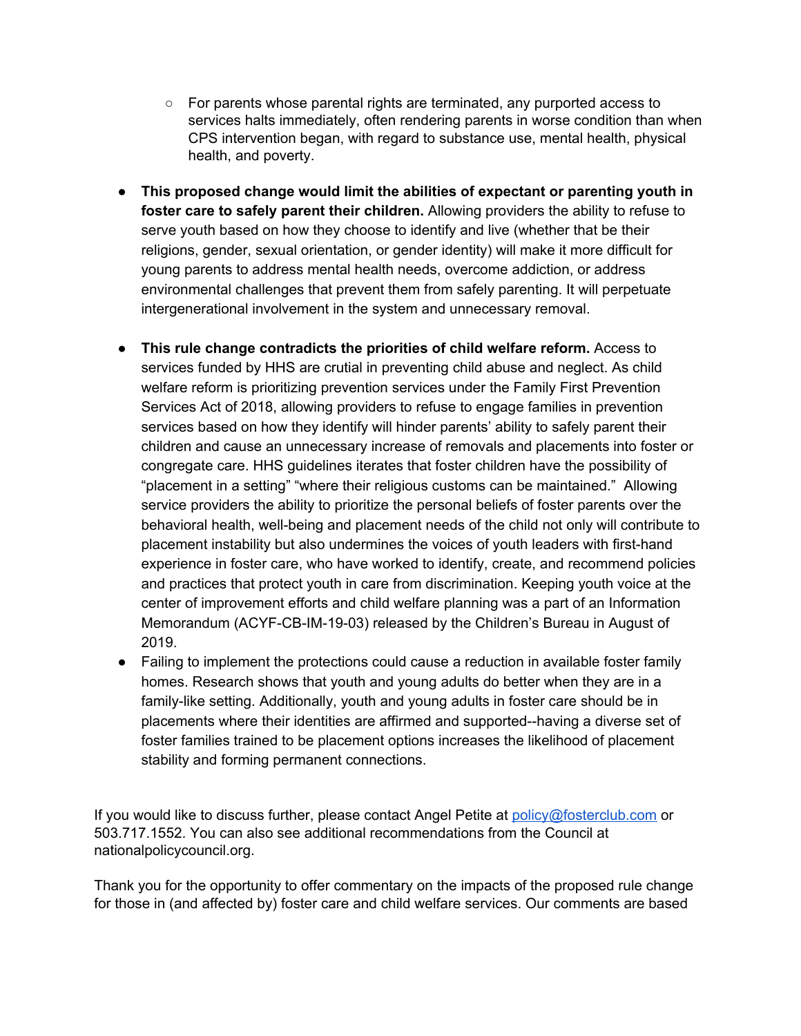- $\circ$  For parents whose parental rights are terminated, any purported access to services halts immediately, often rendering parents in worse condition than when CPS intervention began, with regard to substance use, mental health, physical health, and poverty.
- **This proposed change would limit the abilities of expectant or parenting youth in foster care to safely parent their children.** Allowing providers the ability to refuse to serve youth based on how they choose to identify and live (whether that be their religions, gender, sexual orientation, or gender identity) will make it more difficult for young parents to address mental health needs, overcome addiction, or address environmental challenges that prevent them from safely parenting. It will perpetuate intergenerational involvement in the system and unnecessary removal.
- **● This rule change contradicts the priorities of child welfare reform.** Access to services funded by HHS are crutial in preventing child abuse and neglect. As child welfare reform is prioritizing prevention services under the Family First Prevention Services Act of 2018, allowing providers to refuse to engage families in prevention services based on how they identify will hinder parents' ability to safely parent their children and cause an unnecessary increase of removals and placements into foster or congregate care. HHS guidelines iterates that foster children have the possibility of "placement in a setting" "where their religious customs can be maintained." Allowing service providers the ability to prioritize the personal beliefs of foster parents over the behavioral health, well-being and placement needs of the child not only will contribute to placement instability but also undermines the voices of youth leaders with first-hand experience in foster care, who have worked to identify, create, and recommend policies and practices that protect youth in care from discrimination. Keeping youth voice at the center of improvement efforts and child welfare planning was a part of an Information Memorandum (ACYF-CB-IM-19-03) released by the Children's Bureau in August of 2019.
- Failing to implement the protections could cause a reduction in available foster family homes. Research shows that youth and young adults do better when they are in a family-like setting. Additionally, youth and young adults in foster care should be in placements where their identities are affirmed and supported--having a diverse set of foster families trained to be placement options increases the likelihood of placement stability and forming permanent connections.

If you would like to discuss further, please contact Angel Petite at [policy@fosterclub.com](mailto:policy@fosterclub.com) or 503.717.1552. You can also see additional recommendations from the Council at nationalpolicycouncil.org.

Thank you for the opportunity to offer commentary on the impacts of the proposed rule change for those in (and affected by) foster care and child welfare services. Our comments are based